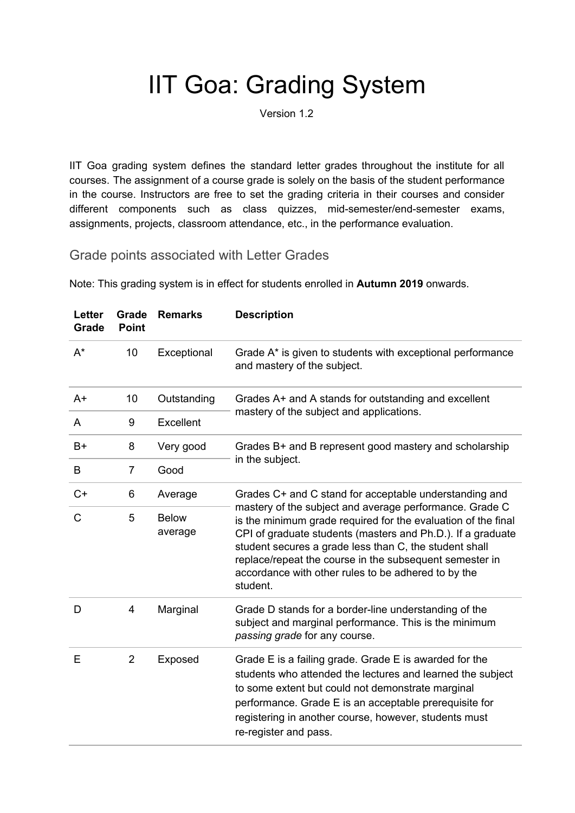## IIT Goa: Grading System

Version 1.2

IIT Goa grading system defines the standard letter grades throughout the institute for all courses. The assignment of a course grade is solely on the basis of the student performance in the course. Instructors are free to set the grading criteria in their courses and consider different components such as class quizzes, mid-semester/end-semester exams, assignments, projects, classroom attendance, etc., in the performance evaluation.

Grade points associated with Letter Grades

| <b>Letter</b><br>Grade | Grade<br><b>Point</b> | <b>Remarks</b>          | <b>Description</b>                                                                                                                                                                                                                                                                                                                                                                                                                        |
|------------------------|-----------------------|-------------------------|-------------------------------------------------------------------------------------------------------------------------------------------------------------------------------------------------------------------------------------------------------------------------------------------------------------------------------------------------------------------------------------------------------------------------------------------|
| $A^*$                  | 10                    | Exceptional             | Grade A* is given to students with exceptional performance<br>and mastery of the subject.                                                                                                                                                                                                                                                                                                                                                 |
| $A+$                   | 10                    | Outstanding             | Grades A+ and A stands for outstanding and excellent<br>mastery of the subject and applications.                                                                                                                                                                                                                                                                                                                                          |
| A                      | 9                     | Excellent               |                                                                                                                                                                                                                                                                                                                                                                                                                                           |
| $B+$                   | 8                     | Very good               | Grades B+ and B represent good mastery and scholarship<br>in the subject.                                                                                                                                                                                                                                                                                                                                                                 |
| B                      | $\overline{7}$        | Good                    |                                                                                                                                                                                                                                                                                                                                                                                                                                           |
| $C+$                   | 6                     | Average                 | Grades C+ and C stand for acceptable understanding and<br>mastery of the subject and average performance. Grade C<br>is the minimum grade required for the evaluation of the final<br>CPI of graduate students (masters and Ph.D.). If a graduate<br>student secures a grade less than C, the student shall<br>replace/repeat the course in the subsequent semester in<br>accordance with other rules to be adhered to by the<br>student. |
| $\mathsf{C}$           | 5                     | <b>Below</b><br>average |                                                                                                                                                                                                                                                                                                                                                                                                                                           |
| D                      | 4                     | Marginal                | Grade D stands for a border-line understanding of the<br>subject and marginal performance. This is the minimum<br>passing grade for any course.                                                                                                                                                                                                                                                                                           |
| E                      | $\overline{2}$        | Exposed                 | Grade E is a failing grade. Grade E is awarded for the<br>students who attended the lectures and learned the subject<br>to some extent but could not demonstrate marginal<br>performance. Grade E is an acceptable prerequisite for<br>registering in another course, however, students must<br>re-register and pass.                                                                                                                     |

Note: This grading system is in effect for students enrolled in **Autumn 2019** onwards.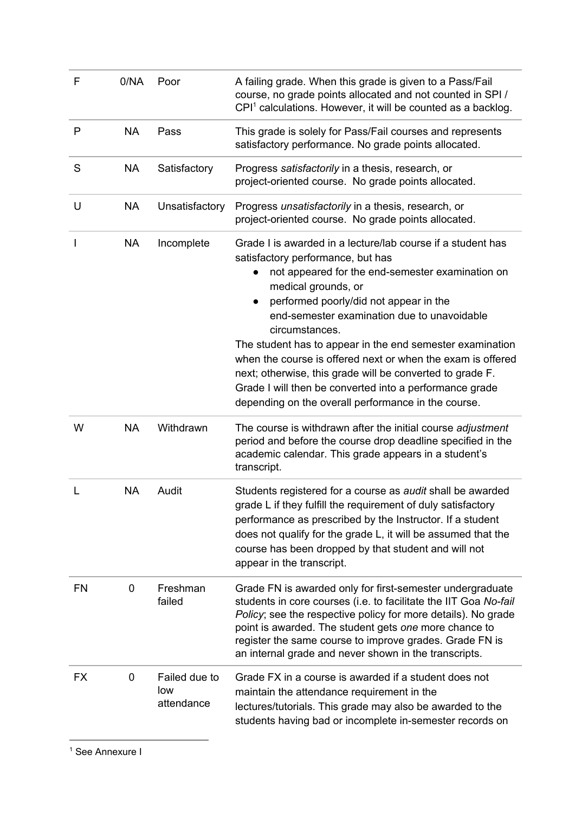| F         | 0/NA      | Poor                               | A failing grade. When this grade is given to a Pass/Fail<br>course, no grade points allocated and not counted in SPI /<br>CPI <sup>1</sup> calculations. However, it will be counted as a backlog.                                                                                                                                                                                                                                                                                                                                                                                                |
|-----------|-----------|------------------------------------|---------------------------------------------------------------------------------------------------------------------------------------------------------------------------------------------------------------------------------------------------------------------------------------------------------------------------------------------------------------------------------------------------------------------------------------------------------------------------------------------------------------------------------------------------------------------------------------------------|
| P         | <b>NA</b> | Pass                               | This grade is solely for Pass/Fail courses and represents<br>satisfactory performance. No grade points allocated.                                                                                                                                                                                                                                                                                                                                                                                                                                                                                 |
| S         | <b>NA</b> | Satisfactory                       | Progress satisfactorily in a thesis, research, or<br>project-oriented course. No grade points allocated.                                                                                                                                                                                                                                                                                                                                                                                                                                                                                          |
| U         | <b>NA</b> | Unsatisfactory                     | Progress unsatisfactorily in a thesis, research, or<br>project-oriented course. No grade points allocated.                                                                                                                                                                                                                                                                                                                                                                                                                                                                                        |
|           | <b>NA</b> | Incomplete                         | Grade I is awarded in a lecture/lab course if a student has<br>satisfactory performance, but has<br>not appeared for the end-semester examination on<br>medical grounds, or<br>performed poorly/did not appear in the<br>end-semester examination due to unavoidable<br>circumstances.<br>The student has to appear in the end semester examination<br>when the course is offered next or when the exam is offered<br>next; otherwise, this grade will be converted to grade F.<br>Grade I will then be converted into a performance grade<br>depending on the overall performance in the course. |
| W         | <b>NA</b> | Withdrawn                          | The course is withdrawn after the initial course adjustment<br>period and before the course drop deadline specified in the<br>academic calendar. This grade appears in a student's<br>transcript.                                                                                                                                                                                                                                                                                                                                                                                                 |
| L         | <b>NA</b> | Audit                              | Students registered for a course as <i>audit</i> shall be awarded<br>grade L if they fulfill the requirement of duly satisfactory<br>performance as prescribed by the Instructor. If a student<br>does not qualify for the grade L, it will be assumed that the<br>course has been dropped by that student and will not<br>appear in the transcript.                                                                                                                                                                                                                                              |
| <b>FN</b> | 0         | Freshman<br>failed                 | Grade FN is awarded only for first-semester undergraduate<br>students in core courses (i.e. to facilitate the IIT Goa No-fail<br>Policy; see the respective policy for more details). No grade<br>point is awarded. The student gets one more chance to<br>register the same course to improve grades. Grade FN is<br>an internal grade and never shown in the transcripts.                                                                                                                                                                                                                       |
| <b>FX</b> | 0         | Failed due to<br>low<br>attendance | Grade FX in a course is awarded if a student does not<br>maintain the attendance requirement in the<br>lectures/tutorials. This grade may also be awarded to the<br>students having bad or incomplete in-semester records on                                                                                                                                                                                                                                                                                                                                                                      |

<sup>1</sup> See Annexure I